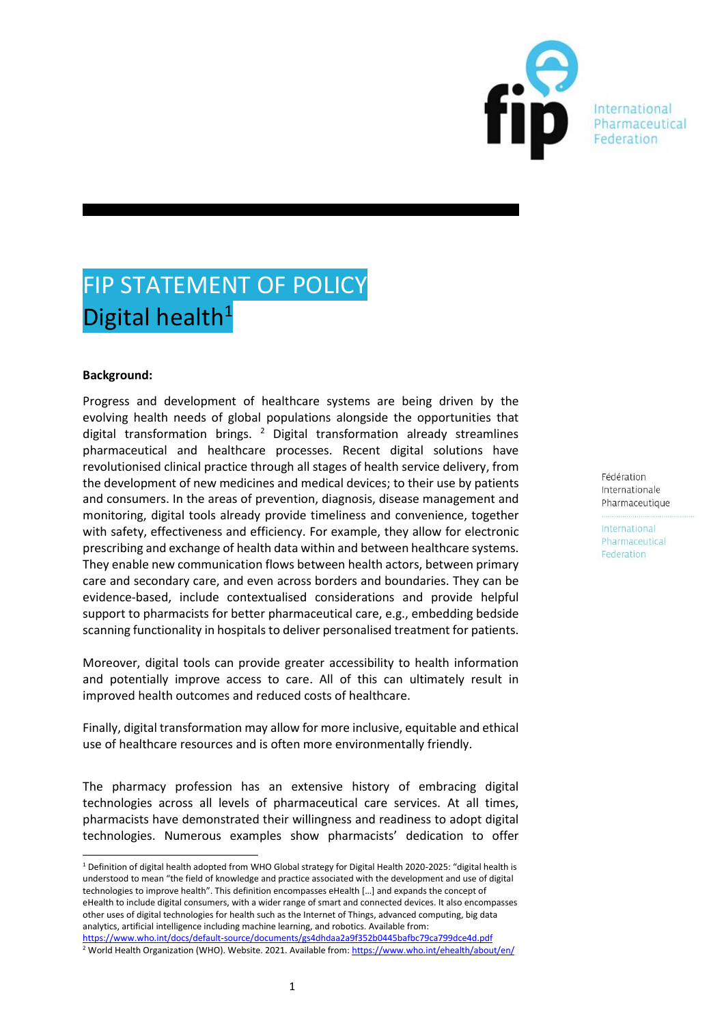

International Pharmaceutical

# FIP STATEMENT OF POLICY Digital health<sup>1</sup>

## **Background:**

Progress and development of healthcare systems are being driven by the evolving health needs of global populations alongside the opportunities that digital transformation brings.  $2$  Digital transformation already streamlines pharmaceutical and healthcare processes. Recent digital solutions have revolutionised clinical practice through all stages of health service delivery, from the development of new medicines and medical devices; to their use by patients and consumers. In the areas of prevention, diagnosis, disease management and monitoring, digital tools already provide timeliness and convenience, together with safety, effectiveness and efficiency. For example, they allow for electronic prescribing and exchange of health data within and between healthcare systems. They enable new communication flows between health actors, between primary care and secondary care, and even across borders and boundaries. They can be evidence-based, include contextualised considerations and provide helpful support to pharmacists for better pharmaceutical care, e.g., embedding bedside scanning functionality in hospitals to deliver personalised treatment for patients.

Moreover, digital tools can provide greater accessibility to health information and potentially improve access to care. All of this can ultimately result in improved health outcomes and reduced costs of healthcare.

Finally, digital transformation may allow for more inclusive, equitable and ethical use of healthcare resources and is often more environmentally friendly.

The pharmacy profession has an extensive history of embracing digital technologies across all levels of pharmaceutical care services. At all times, pharmacists have demonstrated their willingness and readiness to adopt digital technologies. Numerous examples show pharmacists' dedication to offer

[https://www.who.int/docs/default-source/documents/gs4dhdaa2a9f352b0445bafbc79ca799dce4d.pdf](about:blank)

Fédération Internationale Pharmaceutique

<sup>1</sup> Definition of digital health adopted from WHO Global strategy for Digital Health 2020-2025: "digital health is understood to mean "the field of knowledge and practice associated with the development and use of digital technologies to improve health". This definition encompasses eHealth […] and expands the concept of eHealth to include digital consumers, with a wider range of smart and connected devices. It also encompasses other uses of digital technologies for health such as the Internet of Things, advanced computing, big data analytics, artificial intelligence including machine learning, and robotics. Available from:

<sup>&</sup>lt;sup>2</sup> World Health Organization (WHO). Website. 2021. Available from: https://www.who.int/ehealth/about/en/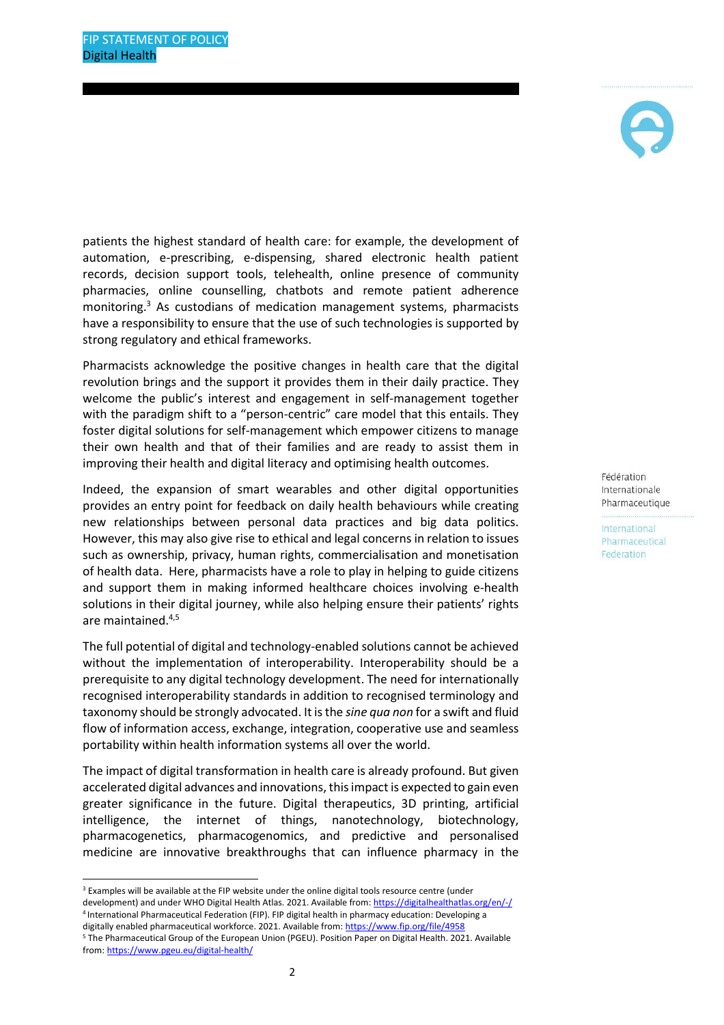

patients the highest standard of health care: for example, the development of automation, e-prescribing, e-dispensing, shared electronic health patient records, decision support tools, telehealth, online presence of community pharmacies, online counselling, chatbots and remote patient adherence monitoring.<sup>3</sup> As custodians of medication management systems, pharmacists have a responsibility to ensure that the use of such technologies is supported by strong regulatory and ethical frameworks.

Pharmacists acknowledge the positive changes in health care that the digital revolution brings and the support it provides them in their daily practice. They welcome the public's interest and engagement in self-management together with the paradigm shift to a "person-centric" care model that this entails. They foster digital solutions for self-management which empower citizens to manage their own health and that of their families and are ready to assist them in improving their health and digital literacy and optimising health outcomes.

Indeed, the expansion of smart wearables and other digital opportunities provides an entry point for feedback on daily health behaviours while creating new relationships between personal data practices and big data politics. However, this may also give rise to ethical and legal concerns in relation to issues such as ownership, privacy, human rights, commercialisation and monetisation of health data. Here, pharmacists have a role to play in helping to guide citizens and support them in making informed healthcare choices involving e-health solutions in their digital journey, while also helping ensure their patients' rights are maintained.4,5

The full potential of digital and technology-enabled solutions cannot be achieved without the implementation of interoperability. Interoperability should be a prerequisite to any digital technology development. The need for internationally recognised interoperability standards in addition to recognised terminology and taxonomy should be strongly advocated. It is the *sine qua non* for a swift and fluid flow of information access, exchange, integration, cooperative use and seamless portability within health information systems all over the world.

The impact of digital transformation in health care is already profound. But given accelerated digital advances and innovations, this impact is expected to gain even greater significance in the future. Digital therapeutics, 3D printing, artificial intelligence, the internet of things, nanotechnology, biotechnology, pharmacogenetics, pharmacogenomics, and predictive and personalised medicine are innovative breakthroughs that can influence pharmacy in the

Fédération Internationale Pharmaceutique

<sup>&</sup>lt;sup>3</sup> Examples will be available at the FIP website under the online digital tools resource centre (under development) and under WHO Digital Health Atlas. 2021. Available from[: https://digitalhealthatlas.org/en/-/](about:blank) 4 International Pharmaceutical Federation (FIP). FIP digital health in pharmacy education: Developing a

digitally enabled pharmaceutical workforce. 2021. Available from: [https://www.fip.org/file/4958](about:blank) <sup>5</sup> The Pharmaceutical Group of the European Union (PGEU). Position Paper on Digital Health. 2021. Available from[: https://www.pgeu.eu/digital-health/](https://www.pgeu.eu/digital-health/)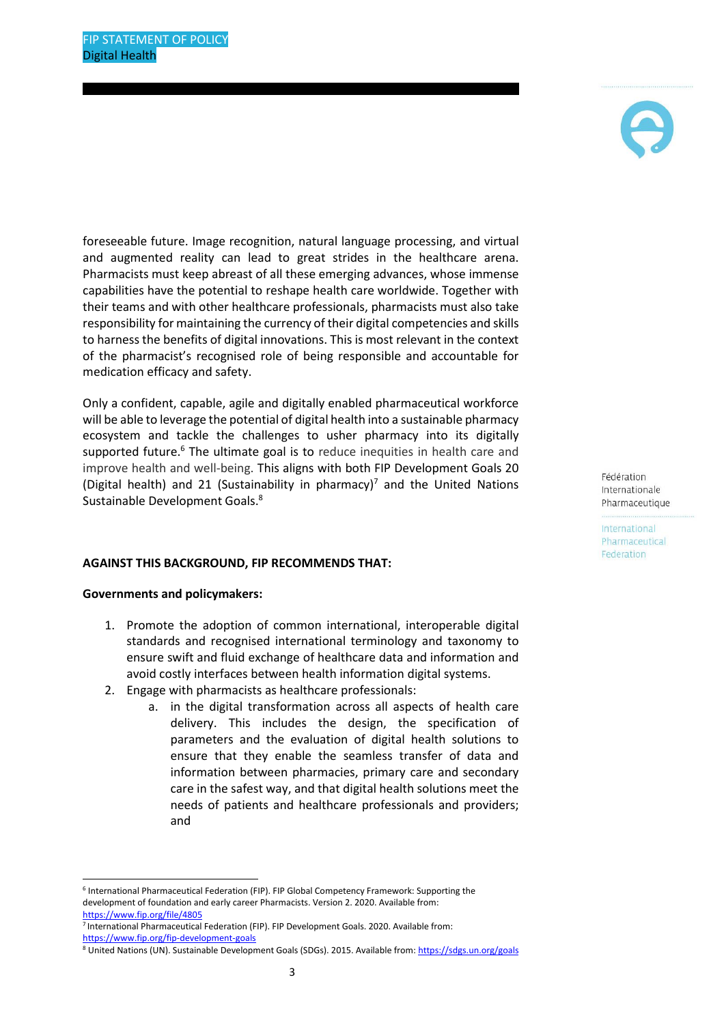

foreseeable future. Image recognition, natural language processing, and virtual and augmented reality can lead to great strides in the healthcare arena. Pharmacists must keep abreast of all these emerging advances, whose immense capabilities have the potential to reshape health care worldwide. Together with their teams and with other healthcare professionals, pharmacists must also take responsibility for maintaining the currency of their digital competencies and skills to harness the benefits of digital innovations. This is most relevant in the context of the pharmacist's recognised role of being responsible and accountable for medication efficacy and safety.

Only a confident, capable, agile and digitally enabled pharmaceutical workforce will be able to leverage the potential of digital health into a sustainable pharmacy ecosystem and tackle the challenges to usher pharmacy into its digitally supported future.<sup>6</sup> The ultimate goal is to reduce inequities in health care and improve health and well-being. This aligns with both FIP Development Goals 20 (Digital health) and 21 (Sustainability in pharmacy)<sup>7</sup> and the United Nations Sustainable Development Goals.<sup>8</sup>

## **AGAINST THIS BACKGROUND, FIP RECOMMENDS THAT:**

#### **Governments and policymakers:**

- 1. Promote the adoption of common international, interoperable digital standards and recognised international terminology and taxonomy to ensure swift and fluid exchange of healthcare data and information and avoid costly interfaces between health information digital systems.
- 2. Engage with pharmacists as healthcare professionals:
	- a. in the digital transformation across all aspects of health care delivery. This includes the design, the specification of parameters and the evaluation of digital health solutions to ensure that they enable the seamless transfer of data and information between pharmacies, primary care and secondary care in the safest way, and that digital health solutions meet the needs of patients and healthcare professionals and providers; and

Fédération Internationale Pharmaceutique

<sup>6</sup> International Pharmaceutical Federation (FIP). FIP Global Competency Framework: Supporting the development of foundation and early career Pharmacists. Version 2. 2020. Available from: [https://www.fip.org/file/4805](about:blank)

<sup>7</sup> International Pharmaceutical Federation (FIP). FIP Development Goals. 2020. Available from: [https://www.fip.org/fip-development-goals](about:blank) 

<sup>8</sup> United Nations (UN). Sustainable Development Goals (SDGs). 2015. Available from: https://sdgs.un.org/goals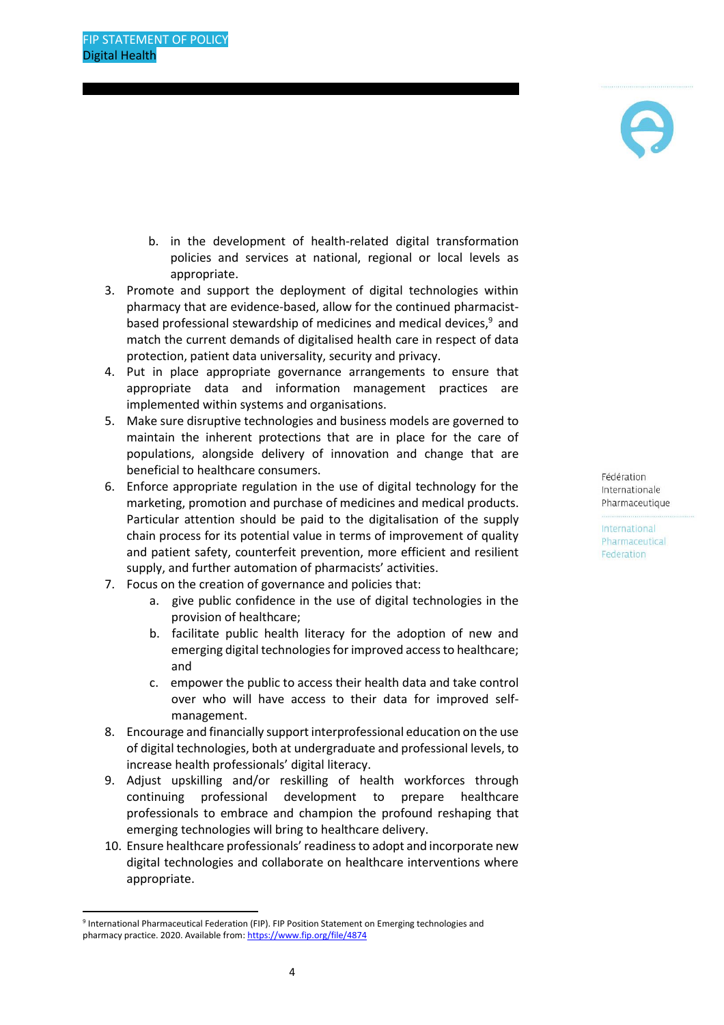- b. in the development of health-related digital transformation policies and services at national, regional or local levels as appropriate.
- 3. Promote and support the deployment of digital technologies within pharmacy that are evidence-based, allow for the continued pharmacistbased professional stewardship of medicines and medical devices, <sup>9</sup> and match the current demands of digitalised health care in respect of data protection, patient data universality, security and privacy.
- 4. Put in place appropriate governance arrangements to ensure that appropriate data and information management practices are implemented within systems and organisations.
- 5. Make sure disruptive technologies and business models are governed to maintain the inherent protections that are in place for the care of populations, alongside delivery of innovation and change that are beneficial to healthcare consumers.
- 6. Enforce appropriate regulation in the use of digital technology for the marketing, promotion and purchase of medicines and medical products. Particular attention should be paid to the digitalisation of the supply chain process for its potential value in terms of improvement of quality and patient safety, counterfeit prevention, more efficient and resilient supply, and further automation of pharmacists' activities.
- 7. Focus on the creation of governance and policies that:
	- a. give public confidence in the use of digital technologies in the provision of healthcare;
	- b. facilitate public health literacy for the adoption of new and emerging digital technologies for improved access to healthcare; and
	- c. empower the public to access their health data and take control over who will have access to their data for improved selfmanagement.
- 8. Encourage and financially support interprofessional education on the use of digital technologies, both at undergraduate and professional levels, to increase health professionals' digital literacy.
- 9. Adjust upskilling and/or reskilling of health workforces through continuing professional development to prepare healthcare professionals to embrace and champion the profound reshaping that emerging technologies will bring to healthcare delivery.
- 10. Ensure healthcare professionals' readiness to adopt and incorporate new digital technologies and collaborate on healthcare interventions where appropriate.

Fédération Internationale Pharmaceutique

<sup>9</sup> International Pharmaceutical Federation (FIP). FIP Position Statement on Emerging technologies and pharmacy practice. 2020. Available from[: https://www.fip.org/file/4874](about:blank)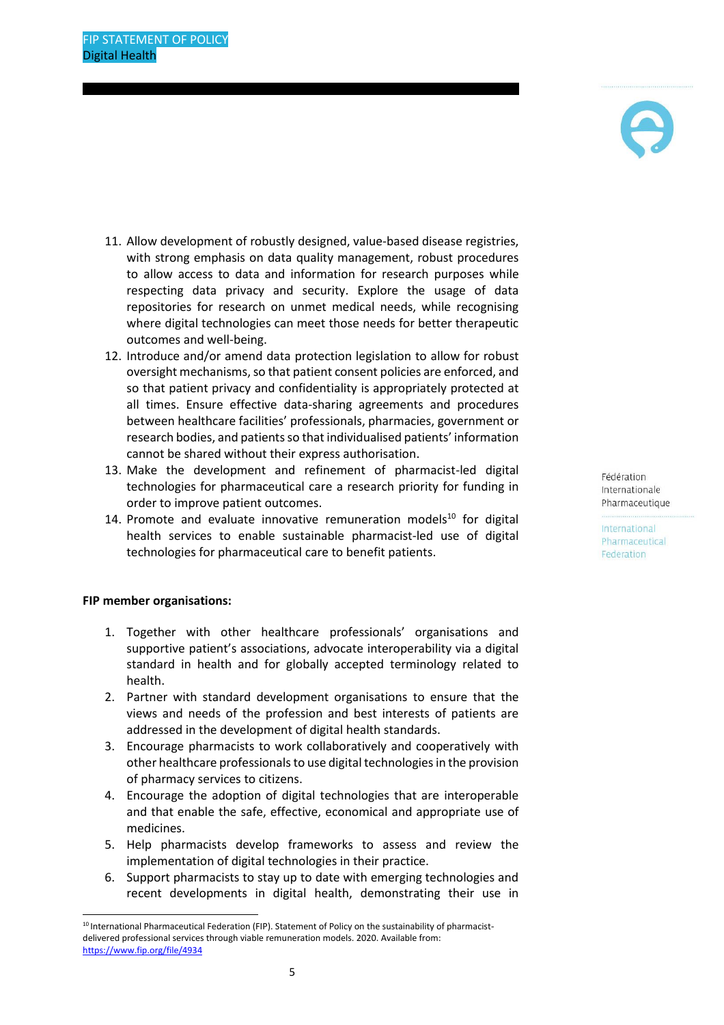

- 11. Allow development of robustly designed, value-based disease registries, with strong emphasis on data quality management, robust procedures to allow access to data and information for research purposes while respecting data privacy and security. Explore the usage of data repositories for research on unmet medical needs, while recognising where digital technologies can meet those needs for better therapeutic outcomes and well-being.
- 12. Introduce and/or amend data protection legislation to allow for robust oversight mechanisms, so that patient consent policies are enforced, and so that patient privacy and confidentiality is appropriately protected at all times. Ensure effective data-sharing agreements and procedures between healthcare facilities' professionals, pharmacies, government or research bodies, and patients so that individualised patients' information cannot be shared without their express authorisation.
- 13. Make the development and refinement of pharmacist-led digital technologies for pharmaceutical care a research priority for funding in order to improve patient outcomes.
- 14. Promote and evaluate innovative remuneration models $10$  for digital health services to enable sustainable pharmacist-led use of digital technologies for pharmaceutical care to benefit patients.

## **FIP member organisations:**

- 1. Together with other healthcare professionals' organisations and supportive patient's associations, advocate interoperability via a digital standard in health and for globally accepted terminology related to health.
- 2. Partner with standard development organisations to ensure that the views and needs of the profession and best interests of patients are addressed in the development of digital health standards.
- 3. Encourage pharmacists to work collaboratively and cooperatively with other healthcare professionals to use digital technologies in the provision of pharmacy services to citizens.
- 4. Encourage the adoption of digital technologies that are interoperable and that enable the safe, effective, economical and appropriate use of medicines.
- 5. Help pharmacists develop frameworks to assess and review the implementation of digital technologies in their practice.
- 6. Support pharmacists to stay up to date with emerging technologies and recent developments in digital health, demonstrating their use in

Fédération Internationale Pharmaceutique

<sup>&</sup>lt;sup>10</sup> International Pharmaceutical Federation (FIP). Statement of Policy on the sustainability of pharmacistdelivered professional services through viable remuneration models. 2020. Available from: [https://www.fip.org/file/4934](about:blank)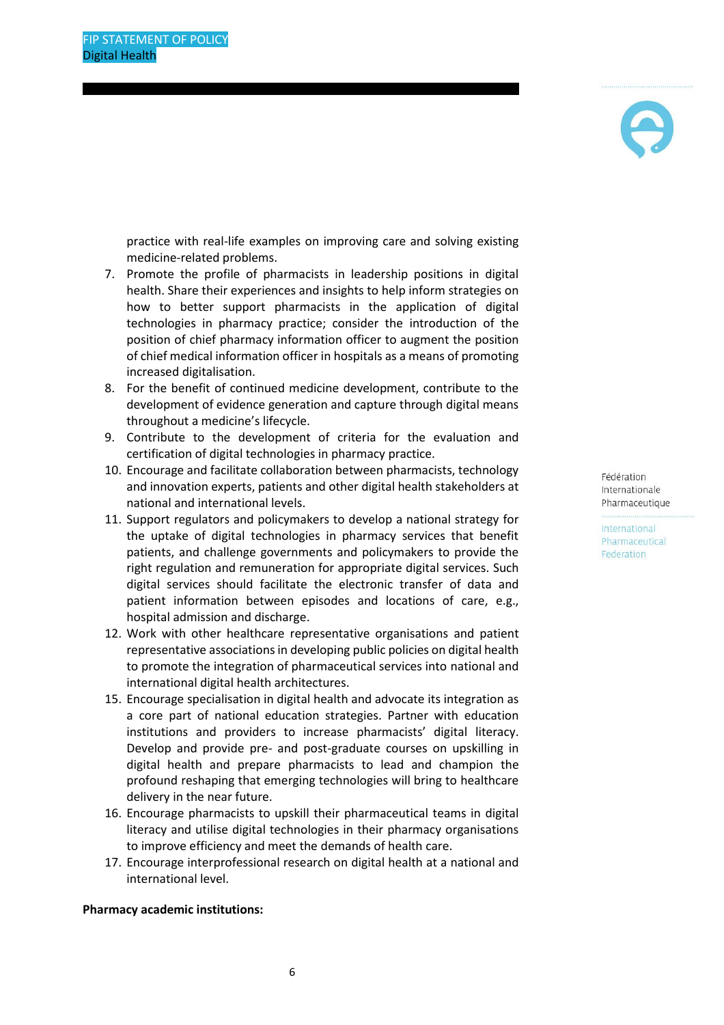

practice with real-life examples on improving care and solving existing medicine-related problems.

- 7. Promote the profile of pharmacists in leadership positions in digital health. Share their experiences and insights to help inform strategies on how to better support pharmacists in the application of digital technologies in pharmacy practice; consider the introduction of the position of chief pharmacy information officer to augment the position of chief medical information officer in hospitals as a means of promoting increased digitalisation.
- 8. For the benefit of continued medicine development, contribute to the development of evidence generation and capture through digital means throughout a medicine's lifecycle.
- 9. Contribute to the development of criteria for the evaluation and certification of digital technologies in pharmacy practice.
- 10. Encourage and facilitate collaboration between pharmacists, technology and innovation experts, patients and other digital health stakeholders at national and international levels.
- 11. Support regulators and policymakers to develop a national strategy for the uptake of digital technologies in pharmacy services that benefit patients, and challenge governments and policymakers to provide the right regulation and remuneration for appropriate digital services. Such digital services should facilitate the electronic transfer of data and patient information between episodes and locations of care, e.g., hospital admission and discharge.
- 12. Work with other healthcare representative organisations and patient representative associations in developing public policies on digital health to promote the integration of pharmaceutical services into national and international digital health architectures.
- 15. Encourage specialisation in digital health and advocate its integration as a core part of national education strategies. Partner with education institutions and providers to increase pharmacists' digital literacy. Develop and provide pre- and post-graduate courses on upskilling in digital health and prepare pharmacists to lead and champion the profound reshaping that emerging technologies will bring to healthcare delivery in the near future.
- 16. Encourage pharmacists to upskill their pharmaceutical teams in digital literacy and utilise digital technologies in their pharmacy organisations to improve efficiency and meet the demands of health care.
- 17. Encourage interprofessional research on digital health at a national and international level.

**Pharmacy academic institutions:**

Fédération Internationale Pharmaceutique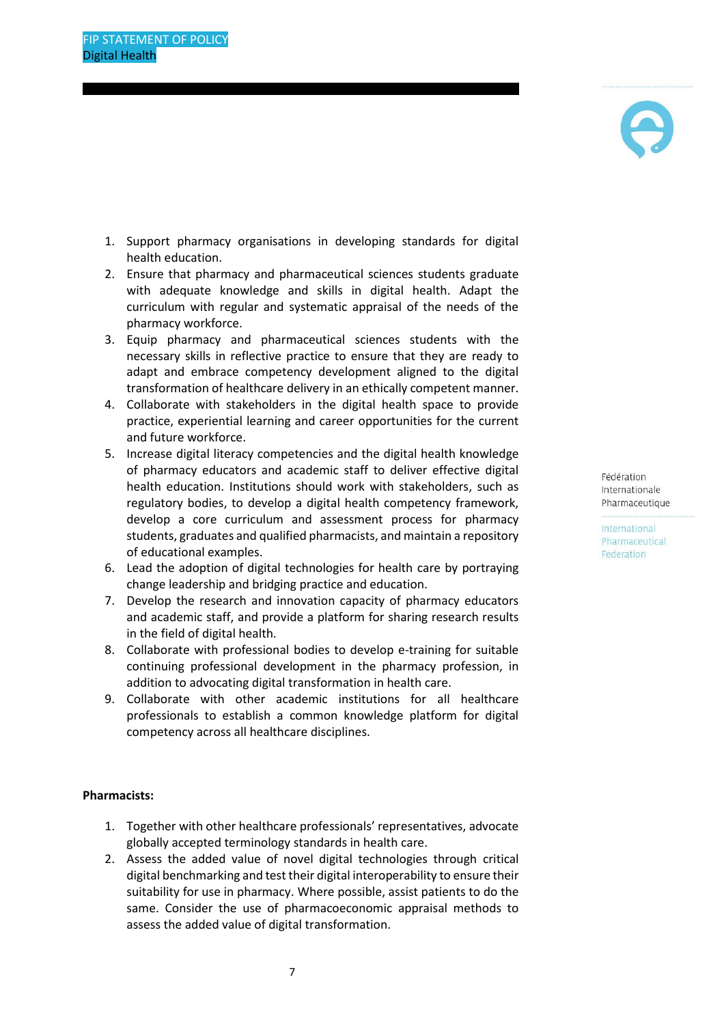- 1. Support pharmacy organisations in developing standards for digital health education.
- 2. Ensure that pharmacy and pharmaceutical sciences students graduate with adequate knowledge and skills in digital health. Adapt the curriculum with regular and systematic appraisal of the needs of the pharmacy workforce.
- 3. Equip pharmacy and pharmaceutical sciences students with the necessary skills in reflective practice to ensure that they are ready to adapt and embrace competency development aligned to the digital transformation of healthcare delivery in an ethically competent manner.
- 4. Collaborate with stakeholders in the digital health space to provide practice, experiential learning and career opportunities for the current and future workforce.
- 5. Increase digital literacy competencies and the digital health knowledge of pharmacy educators and academic staff to deliver effective digital health education. Institutions should work with stakeholders, such as regulatory bodies, to develop a digital health competency framework, develop a core curriculum and assessment process for pharmacy students, graduates and qualified pharmacists, and maintain a repository of educational examples.
- 6. Lead the adoption of digital technologies for health care by portraying change leadership and bridging practice and education.
- 7. Develop the research and innovation capacity of pharmacy educators and academic staff, and provide a platform for sharing research results in the field of digital health.
- 8. Collaborate with professional bodies to develop e-training for suitable continuing professional development in the pharmacy profession, in addition to advocating digital transformation in health care.
- 9. Collaborate with other academic institutions for all healthcare professionals to establish a common knowledge platform for digital competency across all healthcare disciplines.

## **Pharmacists:**

- 1. Together with other healthcare professionals' representatives, advocate globally accepted terminology standards in health care.
- 2. Assess the added value of novel digital technologies through critical digital benchmarking and test their digital interoperability to ensure their suitability for use in pharmacy. Where possible, assist patients to do the same. Consider the use of pharmacoeconomic appraisal methods to assess the added value of digital transformation.

Fédération Internationale Pharmaceutique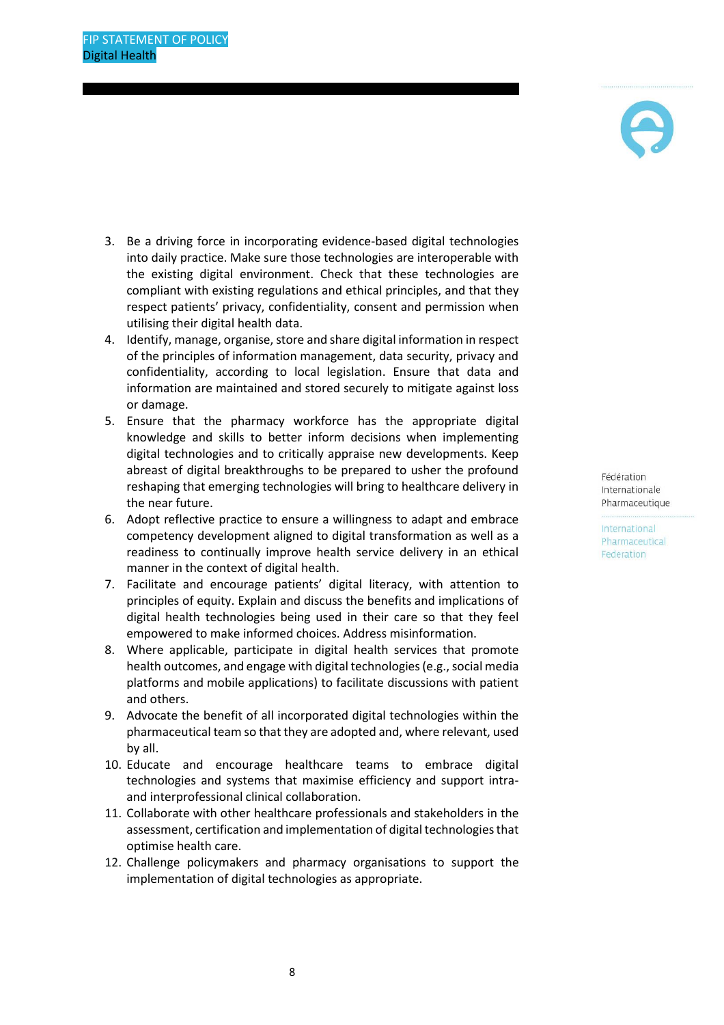

- 3. Be a driving force in incorporating evidence-based digital technologies into daily practice. Make sure those technologies are interoperable with the existing digital environment. Check that these technologies are compliant with existing regulations and ethical principles, and that they respect patients' privacy, confidentiality, consent and permission when utilising their digital health data.
- 4. Identify, manage, organise, store and share digital information in respect of the principles of information management, data security, privacy and confidentiality, according to local legislation. Ensure that data and information are maintained and stored securely to mitigate against loss or damage.
- 5. Ensure that the pharmacy workforce has the appropriate digital knowledge and skills to better inform decisions when implementing digital technologies and to critically appraise new developments. Keep abreast of digital breakthroughs to be prepared to usher the profound reshaping that emerging technologies will bring to healthcare delivery in the near future.
- 6. Adopt reflective practice to ensure a willingness to adapt and embrace competency development aligned to digital transformation as well as a readiness to continually improve health service delivery in an ethical manner in the context of digital health.
- 7. Facilitate and encourage patients' digital literacy, with attention to principles of equity. Explain and discuss the benefits and implications of digital health technologies being used in their care so that they feel empowered to make informed choices. Address misinformation.
- 8. Where applicable, participate in digital health services that promote health outcomes, and engage with digital technologies (e.g., social media platforms and mobile applications) to facilitate discussions with patient and others.
- 9. Advocate the benefit of all incorporated digital technologies within the pharmaceutical team so that they are adopted and, where relevant, used by all.
- 10. Educate and encourage healthcare teams to embrace digital technologies and systems that maximise efficiency and support intraand interprofessional clinical collaboration.
- 11. Collaborate with other healthcare professionals and stakeholders in the assessment, certification and implementation of digital technologies that optimise health care.
- 12. Challenge policymakers and pharmacy organisations to support the implementation of digital technologies as appropriate.

Fédération Internationale Pharmaceutique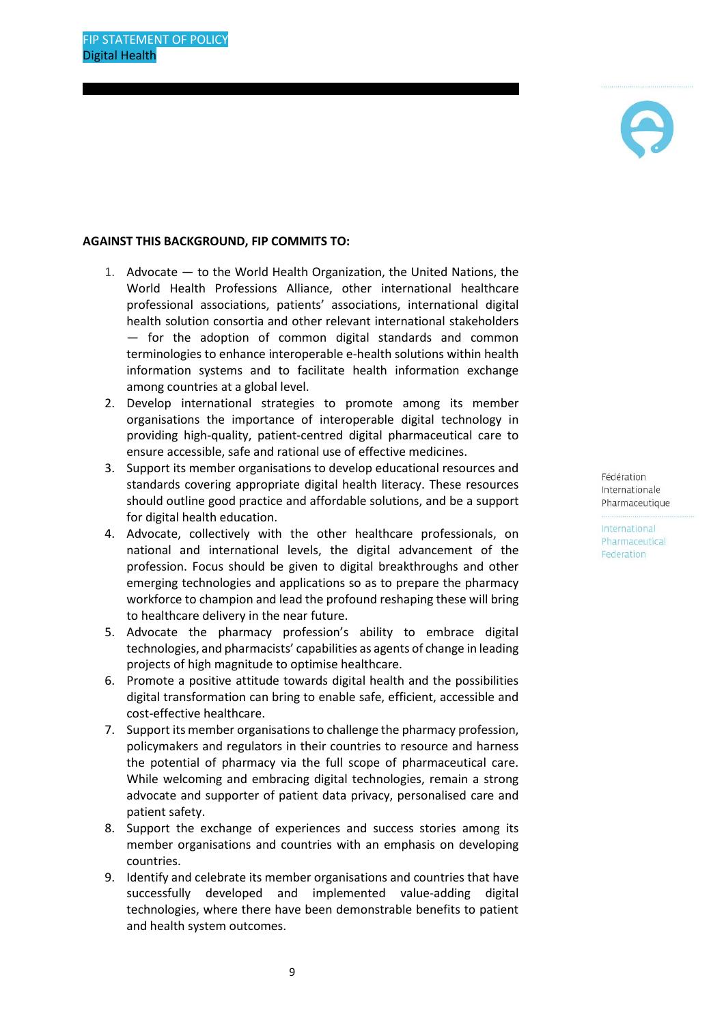

#### **AGAINST THIS BACKGROUND, FIP COMMITS TO:**

- 1. Advocate to the World Health Organization, the United Nations, the World Health Professions Alliance, other international healthcare professional associations, patients' associations, international digital health solution consortia and other relevant international stakeholders — for the adoption of common digital standards and common terminologies to enhance interoperable e-health solutions within health information systems and to facilitate health information exchange among countries at a global level.
- 2. Develop international strategies to promote among its member organisations the importance of interoperable digital technology in providing high-quality, patient-centred digital pharmaceutical care to ensure accessible, safe and rational use of effective medicines.
- 3. Support its member organisations to develop educational resources and standards covering appropriate digital health literacy. These resources should outline good practice and affordable solutions, and be a support for digital health education.
- 4. Advocate, collectively with the other healthcare professionals, on national and international levels, the digital advancement of the profession. Focus should be given to digital breakthroughs and other emerging technologies and applications so as to prepare the pharmacy workforce to champion and lead the profound reshaping these will bring to healthcare delivery in the near future.
- 5. Advocate the pharmacy profession's ability to embrace digital technologies, and pharmacists' capabilities as agents of change in leading projects of high magnitude to optimise healthcare.
- 6. Promote a positive attitude towards digital health and the possibilities digital transformation can bring to enable safe, efficient, accessible and cost-effective healthcare.
- 7. Support its member organisations to challenge the pharmacy profession, policymakers and regulators in their countries to resource and harness the potential of pharmacy via the full scope of pharmaceutical care. While welcoming and embracing digital technologies, remain a strong advocate and supporter of patient data privacy, personalised care and patient safety.
- 8. Support the exchange of experiences and success stories among its member organisations and countries with an emphasis on developing countries.
- 9. Identify and celebrate its member organisations and countries that have successfully developed and implemented value-adding digital technologies, where there have been demonstrable benefits to patient and health system outcomes.

Fédération Internationale Pharmaceutique